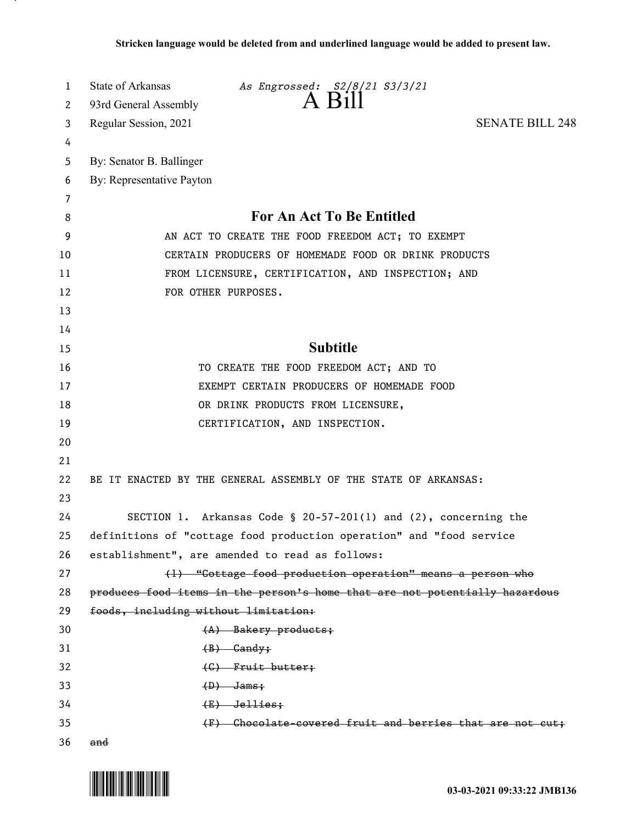| 1      | State of Arkansas<br>As Engrossed: S2/8/21 S3/3/21                          |
|--------|-----------------------------------------------------------------------------|
| 2      | 93rd General Assembly                                                       |
| 3      | <b>SENATE BILL 248</b><br>Regular Session, 2021                             |
| 4      |                                                                             |
| 5      | By: Senator B. Ballinger                                                    |
| 6      | By: Representative Payton                                                   |
| 7<br>8 | For An Act To Be Entitled                                                   |
| 9      | AN ACT TO CREATE THE FOOD FREEDOM ACT; TO EXEMPT                            |
| 10     | CERTAIN PRODUCERS OF HOMEMADE FOOD OR DRINK PRODUCTS                        |
| 11     | FROM LICENSURE, CERTIFICATION, AND INSPECTION; AND                          |
| 12     | FOR OTHER PURPOSES.                                                         |
| 13     |                                                                             |
| 14     |                                                                             |
| 15     | <b>Subtitle</b>                                                             |
| 16     | TO CREATE THE FOOD FREEDOM ACT; AND TO                                      |
| 17     | EXEMPT CERTAIN PRODUCERS OF HOMEMADE FOOD                                   |
| 18     | OR DRINK PRODUCTS FROM LICENSURE,                                           |
| 19     | CERTIFICATION, AND INSPECTION.                                              |
| 20     |                                                                             |
| 21     |                                                                             |
| 22     | BE IT ENACTED BY THE GENERAL ASSEMBLY OF THE STATE OF ARKANSAS:             |
| 23     |                                                                             |
| 24     | SECTION 1. Arkansas Code § 20-57-201(1) and $(2)$ , concerning the          |
| 25     | definitions of "cottage food production operation" and "food service        |
| 26     | establishment", are amended to read as follows:                             |
| 27     | (1) "Cottage food production operation" means a person who                  |
| 28     | produces food items in the person's home that are not potentially hazardous |
| 29     | foods, including without limitation:                                        |
| 30     | $(A)$ Bakery products;                                                      |
| 31     | $(B)$ Gandy;                                                                |
| 32     | (C) Fruit butter;                                                           |
| 33     | $(D)$ Jams;                                                                 |
| 34     | $(E)$ Jellies;                                                              |
| 35     | (F) Chocolate-covered fruit and berries that are not cut;                   |
| 36     | and                                                                         |

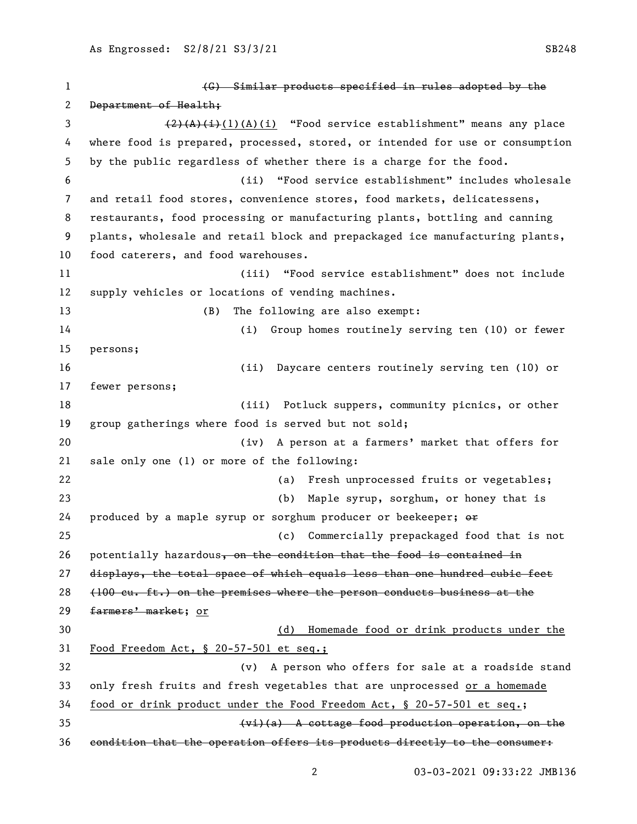(G) Similar products specified in rules adopted by the 2 Department of Health; 3 (2)(A)(i)(A)(i) "Food service establishment" means any place where food is prepared, processed, stored, or intended for use or consumption by the public regardless of whether there is a charge for the food. (ii) "Food service establishment" includes wholesale and retail food stores, convenience stores, food markets, delicatessens, restaurants, food processing or manufacturing plants, bottling and canning plants, wholesale and retail block and prepackaged ice manufacturing plants, food caterers, and food warehouses. (iii) "Food service establishment" does not include supply vehicles or locations of vending machines. (B) The following are also exempt: (i) Group homes routinely serving ten (10) or fewer persons; (ii) Daycare centers routinely serving ten (10) or fewer persons; (iii) Potluck suppers, community picnics, or other group gatherings where food is served but not sold; (iv) A person at a farmers' market that offers for sale only one (1) or more of the following: (a) Fresh unprocessed fruits or vegetables; (b) Maple syrup, sorghum, or honey that is 24 produced by a maple syrup or sorghum producer or beekeeper;  $\Theta$  (c) Commercially prepackaged food that is not 26 potentially hazardous, on the condition that the food is contained in displays, the total space of which equals less than one hundred cubic feet (100 cu. ft.) on the premises where the person conducts business at the 29 farmers' market; or (d) Homemade food or drink products under the Food Freedom Act, § 20-57-501 et seq.; (v) A person who offers for sale at a roadside stand only fresh fruits and fresh vegetables that are unprocessed or a homemade food or drink product under the Food Freedom Act, § 20-57-501 et seq.; (vi)(a) A cottage food production operation, on the condition that the operation offers its products directly to the consumer: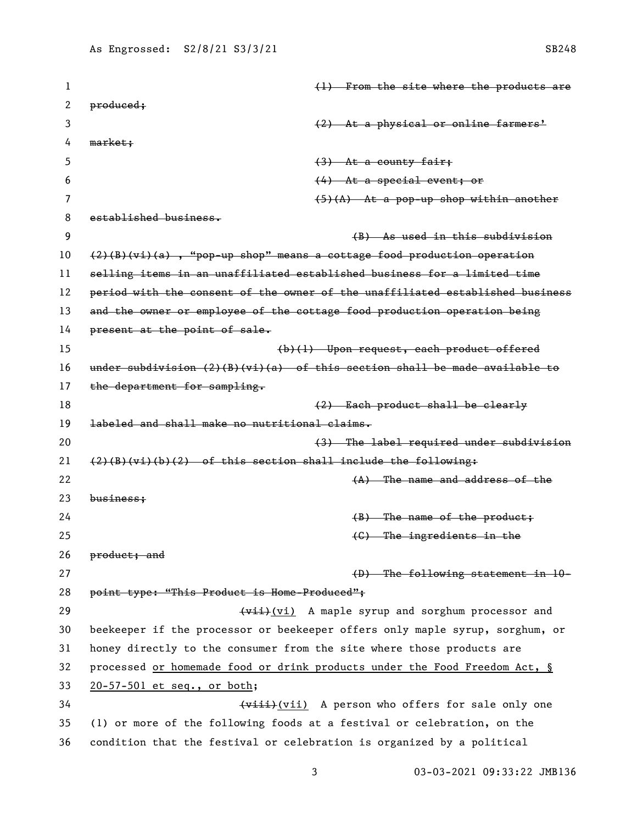| 1  | (1) From the site where the products are                                      |
|----|-------------------------------------------------------------------------------|
| 2  | produced;                                                                     |
| 3  | (2) At a physical or online farmers'                                          |
| 4  | market;                                                                       |
| 5  | $(3)$ At a county fair;                                                       |
| 6  | $(4)$ At a special event; or                                                  |
| 7  | $(5)(A)$ At a pop-up shop within another                                      |
| 8  | established business.                                                         |
| 9  | (B) As used in this subdivision                                               |
| 10 | $(2)(B)(vi)(a)$ , "pop-up shop" means a cottage food production operation     |
| 11 | selling items in an unaffiliated established business for a limited time      |
| 12 | period with the consent of the owner of the unaffiliated established business |
| 13 | and the owner or employee of the cottage food production operation being      |
| 14 | present at the point of sale.                                                 |
| 15 | (b)(1) Upon request, each product offered                                     |
| 16 | under subdivision $(2)(B)(vi)(a)$ of this section shall be made available to  |
| 17 | the department for sampling.                                                  |
| 18 | (2) Each product shall be clearly                                             |
| 19 | labeled and shall make no nutritional claims.                                 |
| 20 | (3) The label required under subdivision                                      |
| 21 | $(2)(B)(vi)(b)(2)$ of this section shall include the following:               |
| 22 | $(A)$ The name and address of the                                             |
| 23 | $busines$                                                                     |
| 24 | $(B)$ The name of the product;                                                |
| 25 | (C) The ingredients in the                                                    |
| 26 | product; and                                                                  |
| 27 | $(D)$ The following statement in $10-$                                        |
| 28 | point type: "This Product is Home-Produced";                                  |
| 29 | (vii) A maple syrup and sorghum processor and                                 |
| 30 | beekeeper if the processor or beekeeper offers only maple syrup, sorghum, or  |
| 31 | honey directly to the consumer from the site where those products are         |
| 32 | processed or homemade food or drink products under the Food Freedom Act, §    |
| 33 | 20-57-501 et seq., or both;                                                   |
| 34 | (viii) A person who offers for sale only one                                  |
| 35 | (1) or more of the following foods at a festival or celebration, on the       |
| 36 | condition that the festival or celebration is organized by a political        |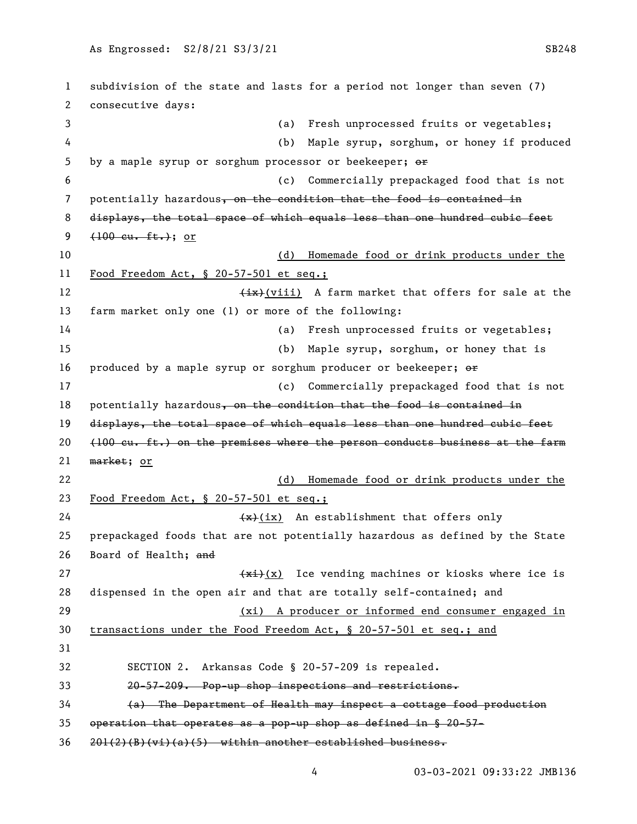subdivision of the state and lasts for a period not longer than seven (7) consecutive days: (a) Fresh unprocessed fruits or vegetables; (b) Maple syrup, sorghum, or honey if produced 5 by a maple syrup or sorghum processor or beekeeper;  $\Theta$  (c) Commercially prepackaged food that is not 7 potentially hazardous, on the condition that the food is contained in displays, the total space of which equals less than one hundred cubic feet  $(100 \text{ cu. ft.})$ ; or (d) Homemade food or drink products under the Food Freedom Act, § 20-57-501 et seq.; 12 (ix)(viii) A farm market that offers for sale at the farm market only one (1) or more of the following: (a) Fresh unprocessed fruits or vegetables; (b) Maple syrup, sorghum, or honey that is 16 produced by a maple syrup or sorghum producer or beekeeper;  $\Theta$ r (c) Commercially prepackaged food that is not 18 potentially hazardous, on the condition that the food is contained in 19 displays, the total space of which equals less than one hundred cubic feet  $(100 \text{ cu. ft.})$  on the premises where the person conducts business at the farm market; or (d) Homemade food or drink products under the Food Freedom Act, § 20-57-501 et seq.;  $\left(\frac{1}{x}\right)(ix)$  An establishment that offers only prepackaged foods that are not potentially hazardous as defined by the State Board of Health; and  $\frac{f(x+1)}{x}$  Ice vending machines or kiosks where ice is dispensed in the open air and that are totally self-contained; and (xi) A producer or informed end consumer engaged in transactions under the Food Freedom Act, § 20-57-501 et seq.; and SECTION 2. Arkansas Code § 20-57-209 is repealed. 20-57-209. Pop-up shop inspections and restrictions. (a) The Department of Health may inspect a cottage food production operation that operates as a pop-up shop as defined in § 20-57- 201(2)(B)(vi)(a)(5) within another established business.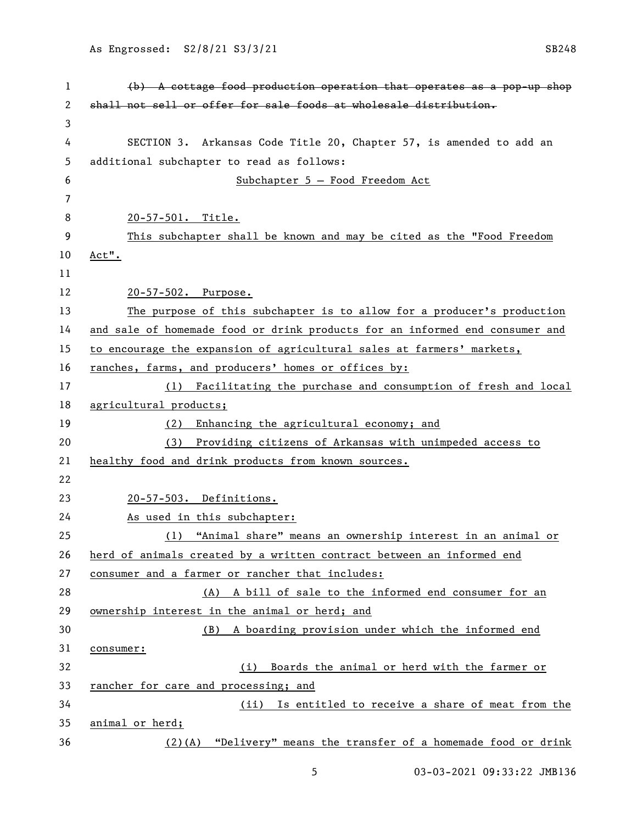| 1  | $(b)$ A cottage food production operation that operates as a pop-up shop     |
|----|------------------------------------------------------------------------------|
| 2  | shall not sell or offer for sale foods at wholesale distribution.            |
| 3  |                                                                              |
| 4  | SECTION 3. Arkansas Code Title 20, Chapter 57, is amended to add an          |
| 5  | additional subchapter to read as follows:                                    |
| 6  | Subchapter 5 - Food Freedom Act                                              |
| 7  |                                                                              |
| 8  | 20-57-501. Title.                                                            |
| 9  | This subchapter shall be known and may be cited as the "Food Freedom         |
| 10 | Act".                                                                        |
| 11 |                                                                              |
| 12 | 20-57-502. Purpose.                                                          |
| 13 | The purpose of this subchapter is to allow for a producer's production       |
| 14 | and sale of homemade food or drink products for an informed end consumer and |
| 15 | to encourage the expansion of agricultural sales at farmers' markets,        |
| 16 | ranches, farms, and producers' homes or offices by:                          |
| 17 | (1) Facilitating the purchase and consumption of fresh and local             |
| 18 | agricultural products;                                                       |
| 19 | Enhancing the agricultural economy; and<br>(2)                               |
| 20 | Providing citizens of Arkansas with unimpeded access to<br>(3)               |
| 21 | healthy food and drink products from known sources.                          |
| 22 |                                                                              |
| 23 | 20-57-503. Definitions.                                                      |
| 24 | As used in this subchapter:                                                  |
| 25 | (1) "Animal share" means an ownership interest in an animal or               |
| 26 | herd of animals created by a written contract between an informed end        |
| 27 | consumer and a farmer or rancher that includes:                              |
| 28 | (A) A bill of sale to the informed end consumer for an                       |
| 29 | ownership interest in the animal or herd; and                                |
| 30 | A boarding provision under which the informed end<br>(B)                     |
| 31 | consumer:                                                                    |
| 32 | Boards the animal or herd with the farmer or<br>(i)                          |
| 33 | rancher for care and processing; and                                         |
| 34 | Is entitled to receive a share of meat from the<br>(ii)                      |
| 35 | animal or herd;                                                              |
| 36 | (2)(A) "Delivery" means the transfer of a homemade food or drink             |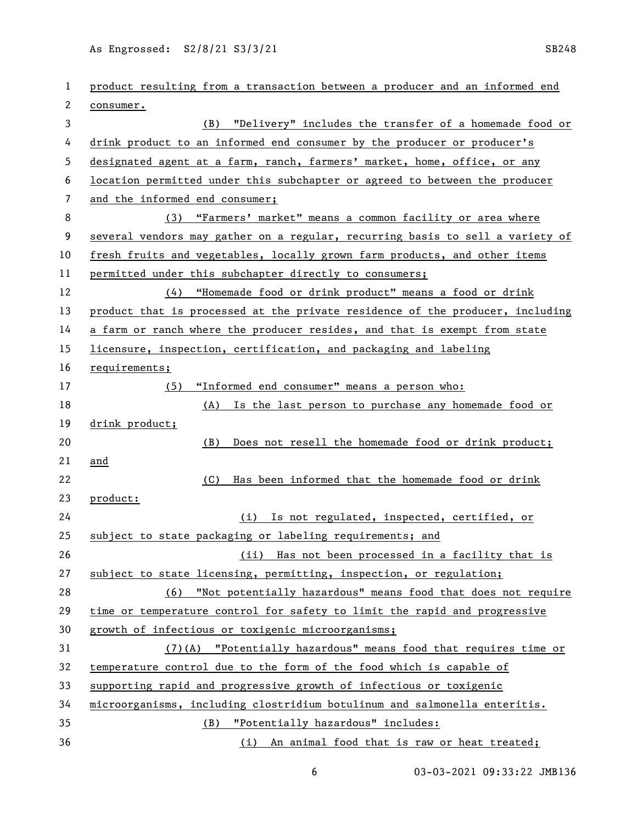As Engrossed: S2/8/21 S3/3/21 SB248

| 1  | product resulting from a transaction between a producer and an informed end   |
|----|-------------------------------------------------------------------------------|
| 2  | consumer.                                                                     |
| 3  | "Delivery" includes the transfer of a homemade food or<br>(B)                 |
| 4  | drink product to an informed end consumer by the producer or producer's       |
| 5  | designated agent at a farm, ranch, farmers' market, home, office, or any      |
| 6  | location permitted under this subchapter or agreed to between the producer    |
| 7  | and the informed end consumer;                                                |
| 8  | (3) "Farmers' market" means a common facility or area where                   |
| 9  | several vendors may gather on a regular, recurring basis to sell a variety of |
| 10 | fresh fruits and vegetables, locally grown farm products, and other items     |
| 11 | permitted under this subchapter directly to consumers;                        |
| 12 | (4) "Homemade food or drink product" means a food or drink                    |
| 13 | product that is processed at the private residence of the producer, including |
| 14 | a farm or ranch where the producer resides, and that is exempt from state     |
| 15 | licensure, inspection, certification, and packaging and labeling              |
| 16 | requirements;                                                                 |
| 17 | "Informed end consumer" means a person who:<br>(5)                            |
| 18 | (A) Is the last person to purchase any homemade food or                       |
| 19 | drink product;                                                                |
| 20 | Does not resell the homemade food or drink product;<br>(B)                    |
| 21 | and                                                                           |
| 22 | Has been informed that the homemade food or drink<br>(C)                      |
| 23 | product:                                                                      |
| 24 | (i) Is not regulated, inspected, certified, or                                |
| 25 | subject to state packaging or labeling requirements; and                      |
| 26 | (ii) Has not been processed in a facility that is                             |
| 27 | subject to state licensing, permitting, inspection, or regulation;            |
| 28 | (6) "Not potentially hazardous" means food that does not require              |
| 29 | time or temperature control for safety to limit the rapid and progressive     |
| 30 | growth of infectious or toxigenic microorganisms;                             |
| 31 | $(7)$ (A) "Potentially hazardous" means food that requires time or            |
| 32 | temperature_control_due_to_the_form_of_the_food_which_is_capable_of           |
| 33 | supporting rapid and progressive growth of infectious or toxigenic            |
| 34 | microorganisms, including clostridium botulinum and salmonella enteritis.     |
| 35 | "Potentially hazardous" includes:<br>(B)                                      |
| 36 | (i) An animal food that is raw or heat treated;                               |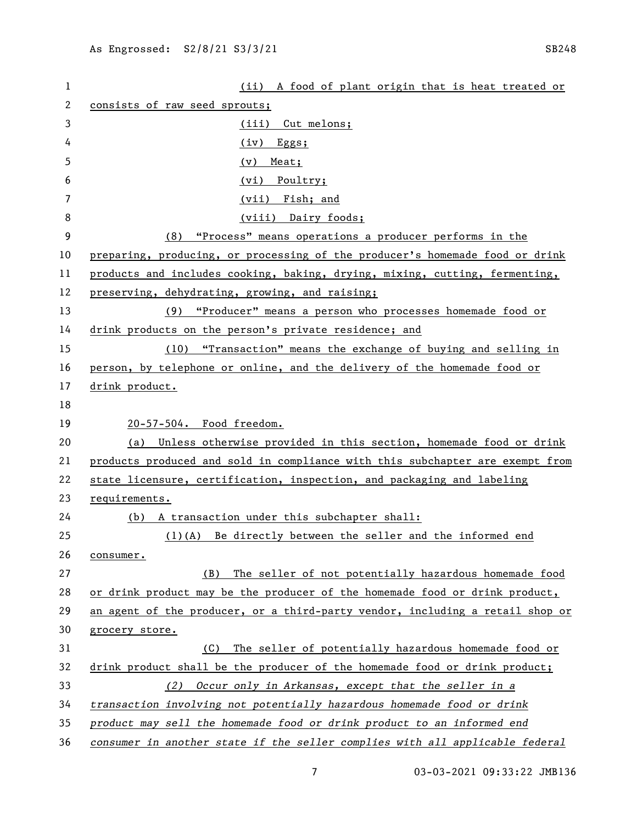| 1  | (ii) A food of plant origin that is heat treated or                           |
|----|-------------------------------------------------------------------------------|
| 2  | consists of raw seed sprouts;                                                 |
| 3  | (iii) Cut melons;                                                             |
| 4  | $(iv)$ Eggs;                                                                  |
| 5  | $(v)$ Meat;                                                                   |
| 6  | (vi) Poultry;                                                                 |
| 7  | (vii) Fish; and                                                               |
| 8  | (viii) Dairy foods;                                                           |
| 9  | "Process" means operations a producer performs in the<br>(8)                  |
| 10 | preparing, producing, or processing of the producer's homemade food or drink  |
| 11 | products and includes cooking, baking, drying, mixing, cutting, fermenting,   |
| 12 | preserving, dehydrating, growing, and raising;                                |
| 13 | (9) "Producer" means a person who processes homemade food or                  |
| 14 | drink products on the person's private residence; and                         |
| 15 | (10) "Transaction" means the exchange of buying and selling in                |
| 16 | person, by telephone or online, and the delivery of the homemade food or      |
| 17 | drink product.                                                                |
| 18 |                                                                               |
| 19 | 20-57-504. Food freedom.                                                      |
| 20 | (a) Unless otherwise provided in this section, homemade food or drink         |
| 21 | products produced and sold in compliance with this subchapter are exempt from |
| 22 | state licensure, certification, inspection, and packaging and labeling        |
| 23 | requirements.                                                                 |
| 24 | (b) A transaction under this subchapter shall:                                |
| 25 | $(1)(A)$ Be directly between the seller and the informed end                  |
| 26 | consumer.                                                                     |
| 27 | The seller of not potentially hazardous homemade food<br>(B)                  |
| 28 | or drink product may be the producer of the homemade food or drink product,   |
| 29 | an agent of the producer, or a third-party vendor, including a retail shop or |
| 30 | grocery store.                                                                |
| 31 | The seller of potentially hazardous homemade food or<br>(C)                   |
| 32 | drink product shall be the producer of the homemade food or drink product;    |
| 33 | Occur only in Arkansas, except that the seller in a<br>(2)                    |
| 34 | transaction involving not potentially hazardous homemade food or drink        |
| 35 | product may sell the homemade food or drink product to an informed end        |
| 36 | consumer in another state if the seller complies with all applicable federal  |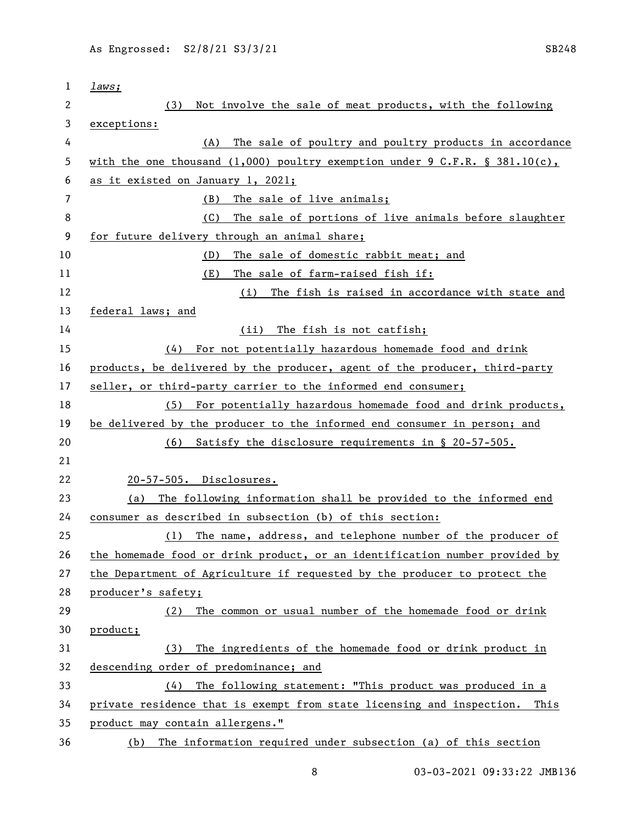| 1  | laws;                                                                       |
|----|-----------------------------------------------------------------------------|
| 2  | Not involve the sale of meat products, with the following<br>(3)            |
| 3  | exceptions:                                                                 |
| 4  | The sale of poultry and poultry products in accordance<br>(A)               |
| 5  | with the one thousand (1,000) poultry exemption under 9 C.F.R. § 381.10(c), |
| 6  | as it existed on January 1, 2021;                                           |
| 7  | The sale of live animals;<br>(B)                                            |
| 8  | The sale of portions of live animals before slaughter<br>(C)                |
| 9  | for future delivery through an animal share;                                |
| 10 | The sale of domestic rabbit meat; and<br>(D)                                |
| 11 | (E)<br>The sale of farm-raised fish if:                                     |
| 12 | The fish is raised in accordance with state and<br>(i)                      |
| 13 | federal laws; and                                                           |
| 14 | The fish is not catfish;<br>(ii)                                            |
| 15 | For not potentially hazardous homemade food and drink<br>(4)                |
| 16 | products, be delivered by the producer, agent of the producer, third-party  |
| 17 | seller, or third-party carrier to the informed end consumer;                |
| 18 | (5) For potentially hazardous homemade food and drink products,             |
| 19 | be delivered by the producer to the informed end consumer in person; and    |
| 20 | Satisfy the disclosure requirements in § 20-57-505.<br>(6)                  |
| 21 |                                                                             |
| 22 | 20-57-505. Disclosures.                                                     |
| 23 | The following information shall be provided to the informed end<br>(a)      |
| 24 | consumer as described in subsection (b) of this section:                    |
| 25 | (1) The name, address, and telephone number of the producer of              |
| 26 | the homemade food or drink product, or an identification number provided by |
| 27 | the Department of Agriculture if requested by the producer to protect the   |
| 28 | producer's safety;                                                          |
| 29 | The common or usual number of the homemade food or drink<br>(2)             |
| 30 | product;                                                                    |
| 31 | The ingredients of the homemade food or drink product in<br>(3)             |
| 32 | descending order of predominance; and                                       |
| 33 | The following statement: "This product was produced in a<br>(4)             |
| 34 | private residence that is exempt from state licensing and inspection. This  |
| 35 | product may contain allergens."                                             |
| 36 | The information required under subsection (a) of this section<br>(b)        |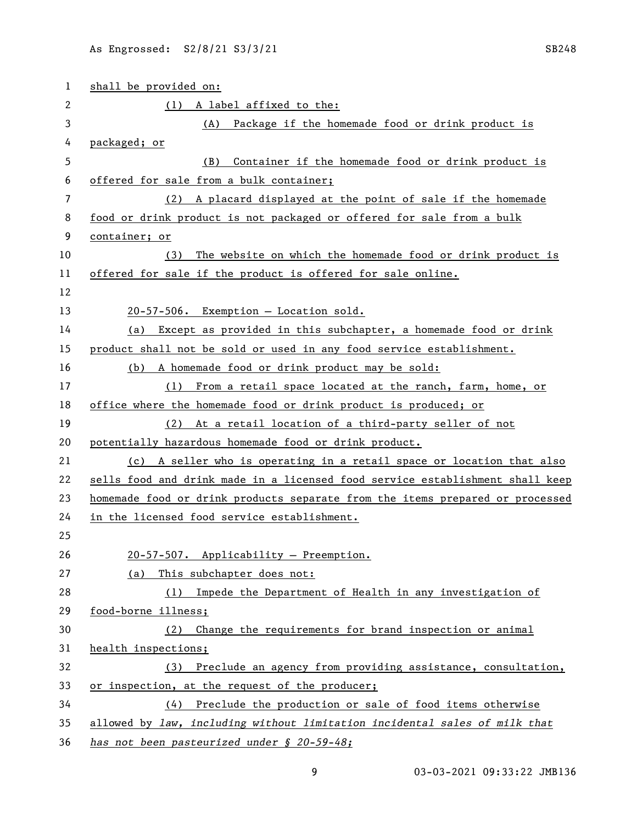| $\mathbf 1$ | shall be provided on:                                                         |
|-------------|-------------------------------------------------------------------------------|
| 2           | (1) A label affixed to the:                                                   |
| 3           | (A) Package if the homemade food or drink product is                          |
| 4           | packaged; or                                                                  |
| 5           | Container if the homemade food or drink product is<br>(B)                     |
| 6           | offered for sale from a bulk container;                                       |
| 7           | (2) A placard displayed at the point of sale if the homemade                  |
| 8           | food or drink product is not packaged or offered for sale from a bulk         |
| 9           | container; or                                                                 |
| 10          | The website on which the homemade food or drink product is<br>(3)             |
| 11          | offered for sale if the product is offered for sale online.                   |
| 12          |                                                                               |
| 13          | 20-57-506. Exemption - Location sold.                                         |
| 14          | (a) Except as provided in this subchapter, a homemade food or drink           |
| 15          | product shall not be sold or used in any food service establishment.          |
| 16          | (b) A homemade food or drink product may be sold:                             |
| 17          | (1) From a retail space located at the ranch, farm, home, or                  |
| 18          | office where the homemade food or drink product is produced; or               |
| 19          | (2) At a retail location of a third-party seller of not                       |
| 20          | potentially hazardous homemade food or drink product.                         |
| 21          | (c) A seller who is operating in a retail space or location that also         |
| 22          | sells food and drink made in a licensed food service establishment shall keep |
| 23          | homemade food or drink products separate from the items prepared or processed |
| 24          | in the licensed food service establishment.                                   |
| 25          |                                                                               |
| 26          | 20-57-507. Applicability - Preemption.                                        |
| 27          | (a) This subchapter does not:                                                 |
| 28          | (1) Impede the Department of Health in any investigation of                   |
| 29          | food-borne illness;                                                           |
| 30          | Change the requirements for brand inspection or animal<br>(2)                 |
| 31          | health inspections;                                                           |
| 32          | (3) Preclude an agency from providing assistance, consultation,               |
| 33          | or inspection, at the request of the producer;                                |
| 34          | $(4)$ Preclude the production or sale of food items otherwise                 |
| 35          | allowed by law, including without limitation incidental sales of milk that    |
| 36          | has not been pasteurized under § 20-59-48;                                    |